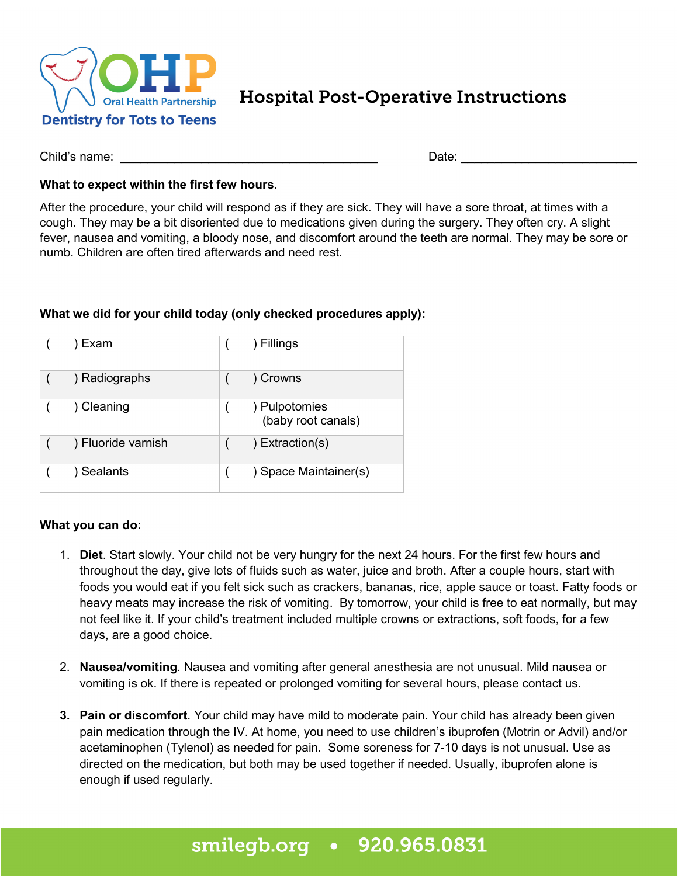

Hospital Post-Operative Instructions

Child's name: \_\_\_\_\_\_\_\_\_\_\_\_\_\_\_\_\_\_\_\_\_\_\_\_\_\_\_\_\_\_\_\_\_\_\_\_\_\_ Date: \_\_\_\_\_\_\_\_\_\_\_\_\_\_\_\_\_\_\_\_\_\_\_\_\_\_

## **What to expect within the first few hours**.

After the procedure, your child will respond as if they are sick. They will have a sore throat, at times with a cough. They may be a bit disoriented due to medications given during the surgery. They often cry. A slight fever, nausea and vomiting, a bloody nose, and discomfort around the teeth are normal. They may be sore or numb. Children are often tired afterwards and need rest.

## **What we did for your child today (only checked procedures apply):**

| Exam               | ) Fillings                          |
|--------------------|-------------------------------------|
| ) Radiographs      | ) Crowns                            |
| Cleaning           | ) Pulpotomies<br>(baby root canals) |
| ) Fluoride varnish | $)$ Extraction(s)                   |
| <b>Sealants</b>    | ) Space Maintainer(s)               |

## **What you can do:**

- 1. **Diet**. Start slowly. Your child not be very hungry for the next 24 hours. For the first few hours and throughout the day, give lots of fluids such as water, juice and broth. After a couple hours, start with foods you would eat if you felt sick such as crackers, bananas, rice, apple sauce or toast. Fatty foods or heavy meats may increase the risk of vomiting. By tomorrow, your child is free to eat normally, but may not feel like it. If your child's treatment included multiple crowns or extractions, soft foods, for a few days, are a good choice.
- 2. **Nausea/vomiting**. Nausea and vomiting after general anesthesia are not unusual. Mild nausea or vomiting is ok. If there is repeated or prolonged vomiting for several hours, please contact us.
- **3. Pain or discomfort**. Your child may have mild to moderate pain. Your child has already been given pain medication through the IV. At home, you need to use children's ibuprofen (Motrin or Advil) and/or acetaminophen (Tylenol) as needed for pain. Some soreness for 7-10 days is not unusual. Use as directed on the medication, but both may be used together if needed. Usually, ibuprofen alone is enough if used regularly.

## smilegb.org • 920.965.0831